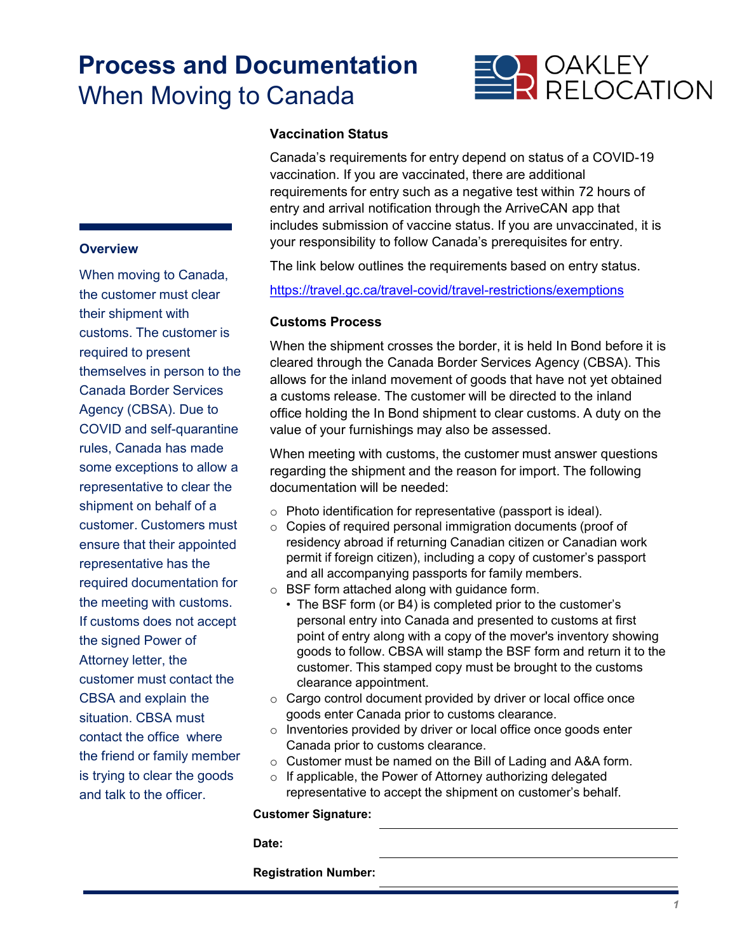# **Process and Documentation** When Moving to Canada



### **Vaccination Status**

Canada's requirements for entry depend on status of a COVID-19 vaccination. If you are vaccinated, there are additional requirements for entry such as a negative test within 72 hours of entry and arrival notification through the ArriveCAN app that includes submission of vaccine status. If you are unvaccinated, it is your responsibility to follow Canada's prerequisites for entry.

The link below outlines the requirements based on entry status.

<https://travel.gc.ca/travel-covid/travel-restrictions/exemptions>

#### **Customs Process**

When the shipment crosses the border, it is held In Bond before it is cleared through the Canada Border Services Agency (CBSA). This allows for the inland movement of goods that have not yet obtained a customs release. The customer will be directed to the inland office holding the In Bond shipment to clear customs. A duty on the value of your furnishings may also be assessed.

When meeting with customs, the customer must answer questions regarding the shipment and the reason for import. The following documentation will be needed:

- o Photo identification for representative (passport is ideal).
- o Copies of required personal immigration documents (proof of residency abroad if returning Canadian citizen or Canadian work permit if foreign citizen), including a copy of customer's passport and all accompanying passports for family members.
- o BSF form attached along with guidance form.
	- The BSF form (or B4) is completed prior to the customer's personal entry into Canada and presented to customs at first point of entry along with a copy of the mover's inventory showing goods to follow. CBSA will stamp the BSF form and return it to the customer. This stamped copy must be brought to the customs clearance appointment.
- $\circ$  Cargo control document provided by driver or local office once goods enter Canada prior to customs clearance.
- o Inventories provided by driver or local office once goods enter Canada prior to customs clearance.
- o Customer must be named on the Bill of Lading and A&A form.
- o If applicable, the Power of Attorney authorizing delegated representative to accept the shipment on customer's behalf.

#### **Customer Signature:**

**Date:**

**Registration Number:**

### **Overview**

When moving to Canada, the customer must clear their shipment with customs. The customer is required to present themselves in person to the Canada Border Services Agency (CBSA). Due to COVID and self-quarantine rules, Canada has made some exceptions to allow a representative to clear the shipment on behalf of a customer. Customers must ensure that their appointed representative has the required documentation for the meeting with customs. If customs does not accept the signed Power of Attorney letter, the customer must contact the CBSA and explain the situation. CBSA must contact the office where the friend or family member is trying to clear the goods and talk to the officer.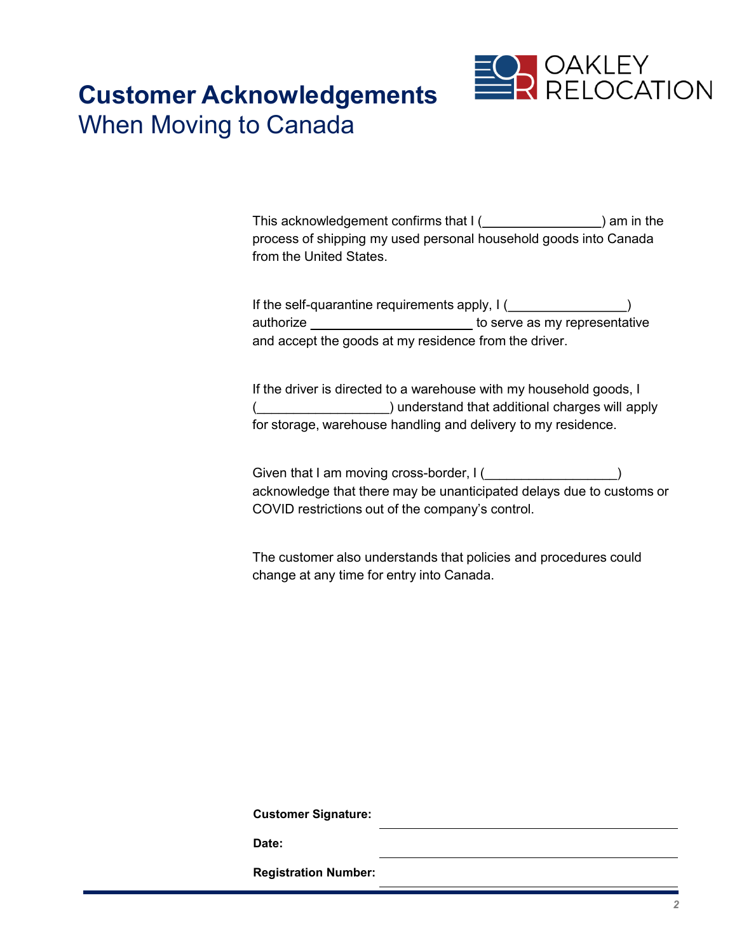

### **Customer Acknowledgements**  When Moving to Canada

This acknowledgement confirms that  $I($   $)$  am in the process of shipping my used personal household goods into Canada from the United States.

If the self-quarantine requirements apply,  $I($ authorize \_\_\_\_\_\_\_\_\_\_\_\_\_\_\_\_\_\_\_\_\_\_\_\_\_ to serve as my representative and accept the goods at my residence from the driver.

If the driver is directed to a warehouse with my household goods, I (\_\_\_\_\_\_\_\_\_\_\_\_\_\_\_\_\_\_) understand that additional charges will apply for storage, warehouse handling and delivery to my residence.

Given that I am moving cross-border, I (  $\qquad \qquad$  ) acknowledge that there may be unanticipated delays due to customs or COVID restrictions out of the company's control.

The customer also understands that policies and procedures could change at any time for entry into Canada.

**Customer Signature:**

**Date:**

**Registration Number:**